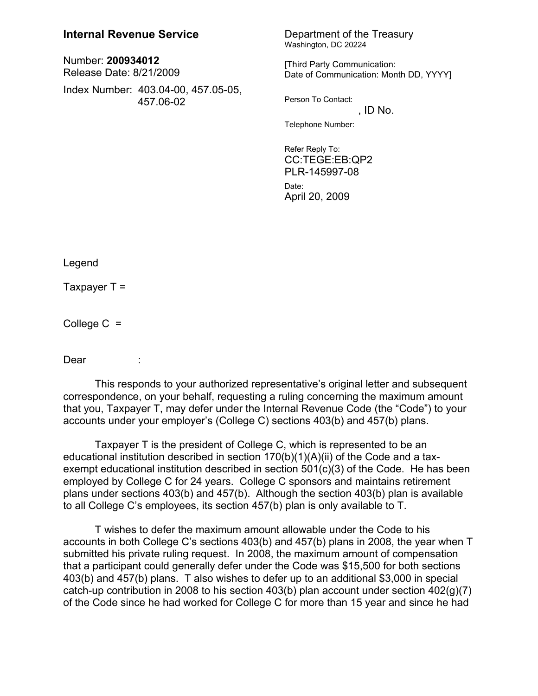## **Internal Revenue Service** Department of the Treasury

Number: **200934012** Release Date: 8/21/2009 Index Number: 403.04-00, 457.05-05, 457.06-02

Washington, DC 20224

[Third Party Communication: Date of Communication: Month DD, YYYY]

Person To Contact:  $,$  ID No.

Telephone Number:

Refer Reply To: CC:TEGE:EB:QP2 PLR-145997-08 Date: April 20, 2009

Legend

Taxpayer  $T =$ 

College  $C =$ 

Dear :

This responds to your authorized representative's original letter and subsequent correspondence, on your behalf, requesting a ruling concerning the maximum amount that you, Taxpayer T, may defer under the Internal Revenue Code (the "Code") to your accounts under your employer's (College C) sections 403(b) and 457(b) plans.

Taxpayer T is the president of College C, which is represented to be an educational institution described in section 170(b)(1)(A)(ii) of the Code and a taxexempt educational institution described in section 501(c)(3) of the Code. He has been employed by College C for 24 years. College C sponsors and maintains retirement plans under sections 403(b) and 457(b). Although the section 403(b) plan is available to all College C's employees, its section 457(b) plan is only available to T.

T wishes to defer the maximum amount allowable under the Code to his accounts in both College C's sections 403(b) and 457(b) plans in 2008, the year when T submitted his private ruling request. In 2008, the maximum amount of compensation that a participant could generally defer under the Code was \$15,500 for both sections 403(b) and 457(b) plans. T also wishes to defer up to an additional \$3,000 in special catch-up contribution in 2008 to his section 403(b) plan account under section 402(g)(7) of the Code since he had worked for College C for more than 15 year and since he had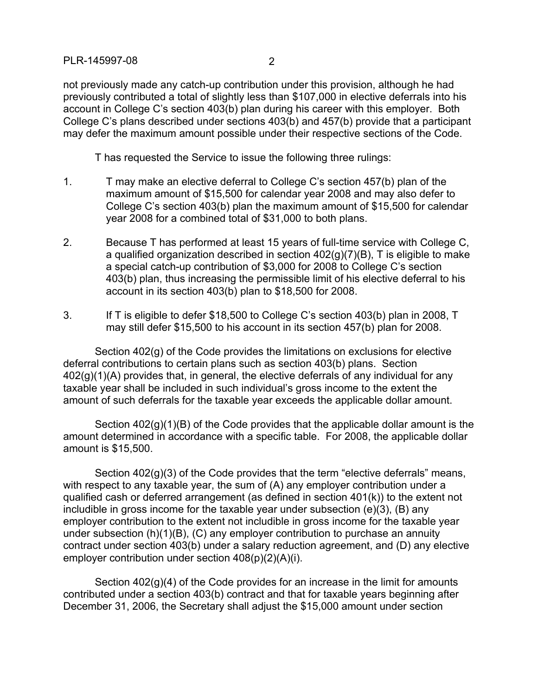## PLR-145997-08 2

not previously made any catch-up contribution under this provision, although he had previously contributed a total of slightly less than \$107,000 in elective deferrals into his account in College C's section 403(b) plan during his career with this employer. Both College C's plans described under sections 403(b) and 457(b) provide that a participant may defer the maximum amount possible under their respective sections of the Code.

T has requested the Service to issue the following three rulings:

- 1. T may make an elective deferral to College C's section 457(b) plan of the maximum amount of \$15,500 for calendar year 2008 and may also defer to College C's section 403(b) plan the maximum amount of \$15,500 for calendar year 2008 for a combined total of \$31,000 to both plans.
- 2. Because T has performed at least 15 years of full-time service with College C, a qualified organization described in section 402(g)(7)(B), T is eligible to make a special catch-up contribution of \$3,000 for 2008 to College C's section 403(b) plan, thus increasing the permissible limit of his elective deferral to his account in its section 403(b) plan to \$18,500 for 2008.
- 3. If T is eligible to defer \$18,500 to College C's section 403(b) plan in 2008, T may still defer \$15,500 to his account in its section 457(b) plan for 2008.

Section 402(g) of the Code provides the limitations on exclusions for elective deferral contributions to certain plans such as section 403(b) plans. Section 402(g)(1)(A) provides that, in general, the elective deferrals of any individual for any taxable year shall be included in such individual's gross income to the extent the amount of such deferrals for the taxable year exceeds the applicable dollar amount.

Section  $402(g)(1)(B)$  of the Code provides that the applicable dollar amount is the amount determined in accordance with a specific table. For 2008, the applicable dollar amount is \$15,500.

Section 402(g)(3) of the Code provides that the term "elective deferrals" means, with respect to any taxable year, the sum of (A) any employer contribution under a qualified cash or deferred arrangement (as defined in section 401(k)) to the extent not includible in gross income for the taxable year under subsection (e)(3), (B) any employer contribution to the extent not includible in gross income for the taxable year under subsection (h)(1)(B), (C) any employer contribution to purchase an annuity contract under section 403(b) under a salary reduction agreement, and (D) any elective employer contribution under section 408(p)(2)(A)(i).

Section 402(g)(4) of the Code provides for an increase in the limit for amounts contributed under a section 403(b) contract and that for taxable years beginning after December 31, 2006, the Secretary shall adjust the \$15,000 amount under section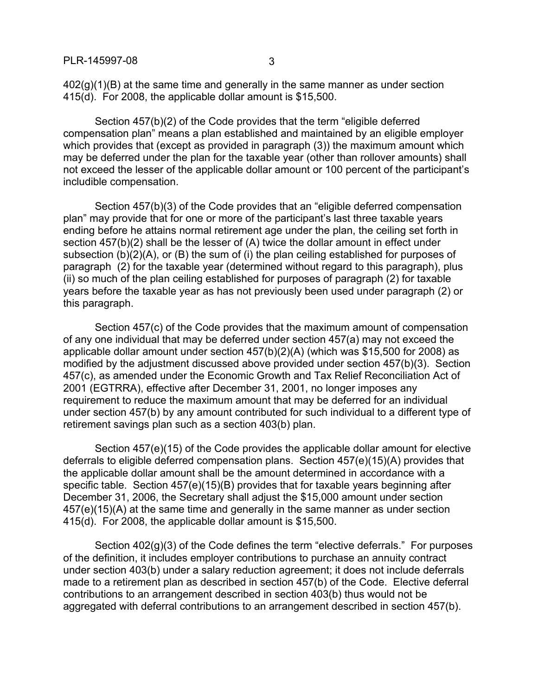$402(q)(1)(B)$  at the same time and generally in the same manner as under section 415(d). For 2008, the applicable dollar amount is \$15,500.

Section 457(b)(2) of the Code provides that the term "eligible deferred compensation plan" means a plan established and maintained by an eligible employer which provides that (except as provided in paragraph (3)) the maximum amount which may be deferred under the plan for the taxable year (other than rollover amounts) shall not exceed the lesser of the applicable dollar amount or 100 percent of the participant's includible compensation.

Section 457(b)(3) of the Code provides that an "eligible deferred compensation plan" may provide that for one or more of the participant's last three taxable years ending before he attains normal retirement age under the plan, the ceiling set forth in section 457(b)(2) shall be the lesser of (A) twice the dollar amount in effect under subsection (b)(2)(A), or (B) the sum of (i) the plan ceiling established for purposes of paragraph (2) for the taxable year (determined without regard to this paragraph), plus (ii) so much of the plan ceiling established for purposes of paragraph (2) for taxable years before the taxable year as has not previously been used under paragraph (2) or this paragraph.

Section 457(c) of the Code provides that the maximum amount of compensation of any one individual that may be deferred under section 457(a) may not exceed the applicable dollar amount under section 457(b)(2)(A) (which was \$15,500 for 2008) as modified by the adjustment discussed above provided under section 457(b)(3). Section 457(c), as amended under the Economic Growth and Tax Relief Reconciliation Act of 2001 (EGTRRA), effective after December 31, 2001, no longer imposes any requirement to reduce the maximum amount that may be deferred for an individual under section 457(b) by any amount contributed for such individual to a different type of retirement savings plan such as a section 403(b) plan.

Section 457(e)(15) of the Code provides the applicable dollar amount for elective deferrals to eligible deferred compensation plans. Section 457(e)(15)(A) provides that the applicable dollar amount shall be the amount determined in accordance with a specific table. Section 457(e)(15)(B) provides that for taxable years beginning after December 31, 2006, the Secretary shall adjust the \$15,000 amount under section 457(e)(15)(A) at the same time and generally in the same manner as under section 415(d). For 2008, the applicable dollar amount is \$15,500.

Section 402(g)(3) of the Code defines the term "elective deferrals." For purposes of the definition, it includes employer contributions to purchase an annuity contract under section 403(b) under a salary reduction agreement; it does not include deferrals made to a retirement plan as described in section 457(b) of the Code. Elective deferral contributions to an arrangement described in section 403(b) thus would not be aggregated with deferral contributions to an arrangement described in section 457(b).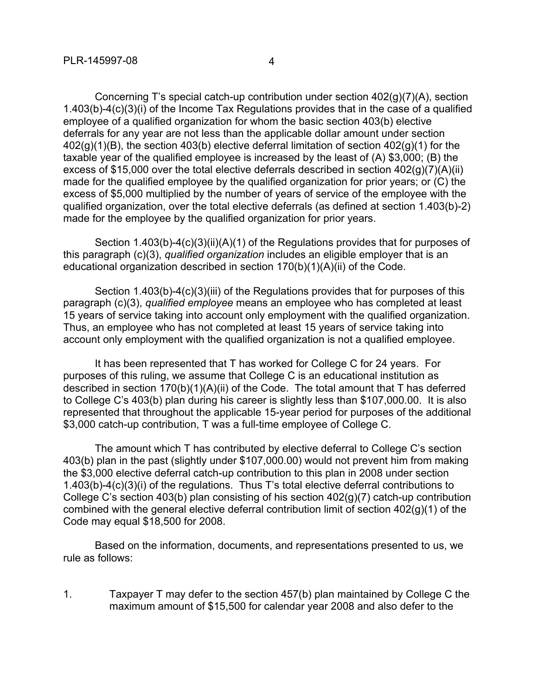Concerning T's special catch-up contribution under section 402(g)(7)(A), section 1.403(b)-4(c)(3)(i) of the Income Tax Regulations provides that in the case of a qualified employee of a qualified organization for whom the basic section 403(b) elective deferrals for any year are not less than the applicable dollar amount under section 402(g)(1)(B), the section 403(b) elective deferral limitation of section 402(g)(1) for the taxable year of the qualified employee is increased by the least of (A) \$3,000; (B) the excess of \$15,000 over the total elective deferrals described in section 402(g)(7)(A)(ii) made for the qualified employee by the qualified organization for prior years; or (C) the excess of \$5,000 multiplied by the number of years of service of the employee with the qualified organization, over the total elective deferrals (as defined at section 1.403(b)-2) made for the employee by the qualified organization for prior years.

Section 1.403(b)-4(c)(3)(ii)(A)(1) of the Regulations provides that for purposes of this paragraph (c)(3), *qualified organization* includes an eligible employer that is an educational organization described in section 170(b)(1)(A)(ii) of the Code.

Section 1.403(b)-4(c)(3)(iii) of the Regulations provides that for purposes of this paragraph (c)(3), *qualified employee* means an employee who has completed at least 15 years of service taking into account only employment with the qualified organization. Thus, an employee who has not completed at least 15 years of service taking into account only employment with the qualified organization is not a qualified employee.

It has been represented that T has worked for College C for 24 years. For purposes of this ruling, we assume that College C is an educational institution as described in section 170(b)(1)(A)(ii) of the Code. The total amount that T has deferred to College C's 403(b) plan during his career is slightly less than \$107,000.00. It is also represented that throughout the applicable 15-year period for purposes of the additional \$3,000 catch-up contribution, T was a full-time employee of College C.

The amount which T has contributed by elective deferral to College C's section 403(b) plan in the past (slightly under \$107,000.00) would not prevent him from making the \$3,000 elective deferral catch-up contribution to this plan in 2008 under section 1.403(b)-4(c)(3)(i) of the regulations. Thus T's total elective deferral contributions to College C's section 403(b) plan consisting of his section  $402(q)(7)$  catch-up contribution combined with the general elective deferral contribution limit of section 402(g)(1) of the Code may equal \$18,500 for 2008.

Based on the information, documents, and representations presented to us, we rule as follows:

1. Taxpayer T may defer to the section 457(b) plan maintained by College C the maximum amount of \$15,500 for calendar year 2008 and also defer to the